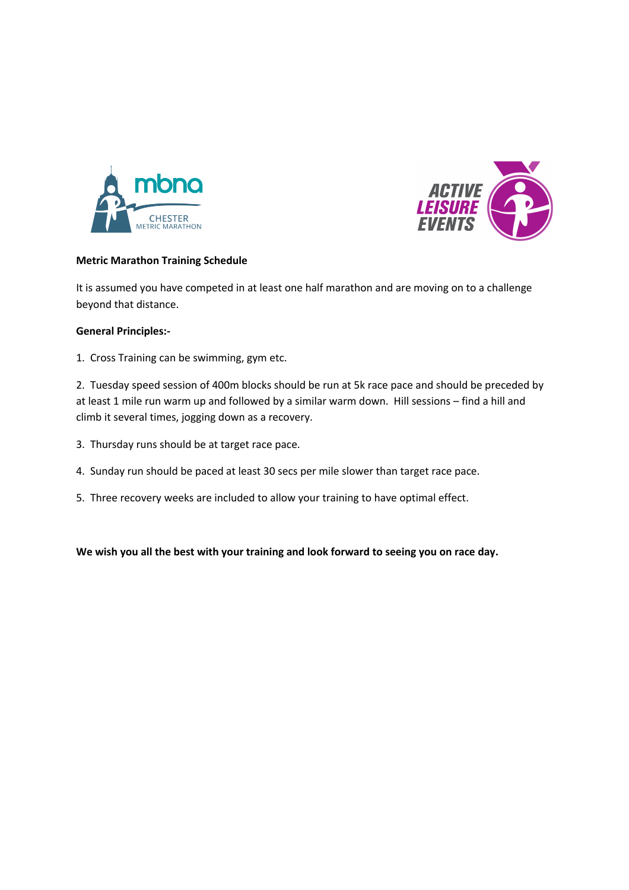



## **Metric Marathon Training Schedule**

It is assumed you have competed in at least one half marathon and are moving on to a challenge beyond that distance.

## **General Principles:-**

1. Cross Training can be swimming, gym etc.

2. Tuesday speed session of 400m blocks should be run at 5k race pace and should be preceded by at least 1 mile run warm up and followed by a similar warm down. Hill sessions – find a hill and climb it several times, jogging down as a recovery.

- 3. Thursday runs should be at target race pace.
- 4. Sunday run should be paced at least 30 secs per mile slower than target race pace.
- 5. Three recovery weeks are included to allow your training to have optimal effect.

**We wish you all the best with your training and look forward to seeing you on race day.**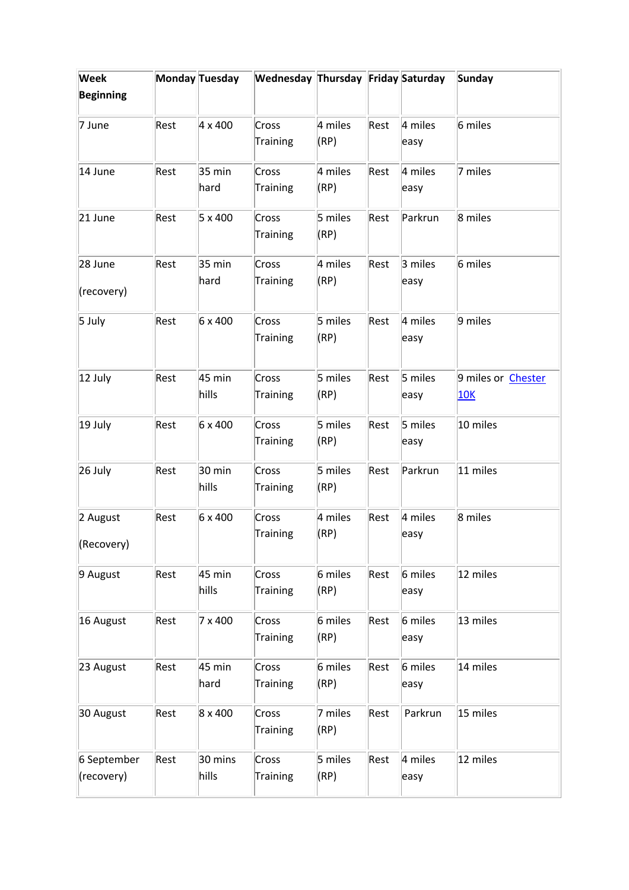| Week             |      | Monday Tuesday   | Wednesday Thursday Friday Saturday |         |      |         | <b>Sunday</b>             |
|------------------|------|------------------|------------------------------------|---------|------|---------|---------------------------|
| <b>Beginning</b> |      |                  |                                    |         |      |         |                           |
| 7 June           | Rest | 4 x 400          | Cross                              | 4 miles | Rest | 4 miles | 6 miles                   |
|                  |      |                  | Training                           | (RP)    |      | easy    |                           |
| 14 June          | Rest | $35 \text{ min}$ | Cross                              | 4 miles | Rest | 4 miles | 7 miles                   |
|                  |      | hard             | Training                           | (RP)    |      | easy    |                           |
| 21 June          | Rest | 5 x 400          | Cross                              | 5 miles | Rest | Parkrun | 8 miles                   |
|                  |      |                  | Training                           | (RP)    |      |         |                           |
| 28 June          | Rest | $35 \text{ min}$ | Cross                              | 4 miles | Rest | 3 miles | 6 miles                   |
| (recovery)       |      | hard             | Training                           | (RP)    |      | easy    |                           |
| 5 July           | Rest | 6 x 400          | Cross                              | 5 miles | Rest | 4 miles | 9 miles                   |
|                  |      |                  | Training                           | (RP)    |      | easy    |                           |
| 12 July          | Rest | 45 min           | Cross                              | 5 miles | Rest | 5 miles | 9 miles or <b>Chester</b> |
|                  |      | hills            | Training                           | (RP)    |      | easy    | <u>10K</u>                |
| 19 July          | Rest | 6 x 400          | Cross                              | 5 miles | Rest | 5 miles | 10 miles                  |
|                  |      |                  | Training                           | (RP)    |      | easy    |                           |
| 26 July          | Rest | $30 \text{ min}$ | Cross                              | 5 miles | Rest | Parkrun | 11 miles                  |
|                  |      | hills            | Training                           | (RP)    |      |         |                           |
| 2 August         | Rest | 6 x 400          | Cross                              | 4 miles | Rest | 4 miles | 8 miles                   |
| (Recovery)       |      |                  | Training                           | (RP)    |      | easy    |                           |
| 9 August         | Rest | 45 min           | Cross                              | 6 miles | Rest | 6 miles | 12 miles                  |
|                  |      | hills            | <b>Training</b>                    | (RP)    |      | easy    |                           |
| 16 August        | Rest | 7 x 400          | Cross                              | 6 miles | Rest | 6 miles | 13 miles                  |
|                  |      |                  | Training                           | (RP)    |      | easy    |                           |
| 23 August        | Rest | 45 min           | Cross                              | 6 miles | Rest | 6 miles | 14 miles                  |
|                  |      | hard             | Training                           | (RP)    |      | easy    |                           |
| 30 August        | Rest | 8 x 400          | Cross                              | 7 miles | Rest | Parkrun | 15 miles                  |
|                  |      |                  | <b>Training</b>                    | (RP)    |      |         |                           |
| 6 September      | Rest | 30 mins          | Cross                              | 5 miles | Rest | 4 miles | 12 miles                  |
| (recovery)       |      | hills            | Training                           | (RP)    |      | easy    |                           |